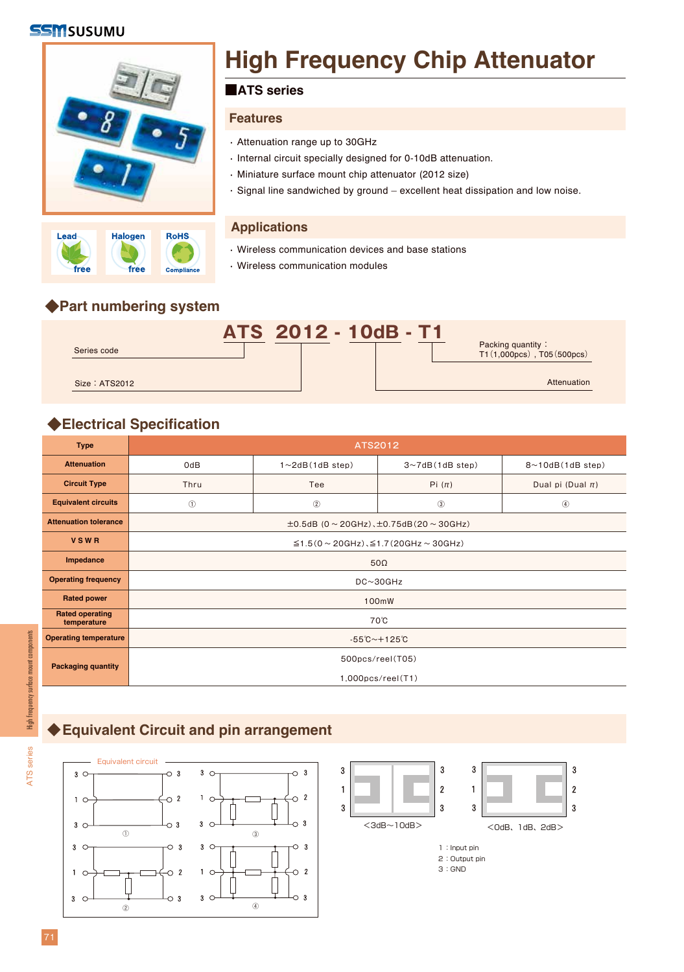### **SSM**SUSUMU





# **High Frequency Chip Attenuator**

#### ■**ATS series**

#### **Features**

- Attenuation range up to 30GHz ・
- · Internal circuit specially designed for 0-10dB attenuation.
- Miniature surface mount chip attenuator (2012 size) ・
- Signal line sandwiched by ground excellent heat dissipation and low noise. ・

#### **Applications**

- Wireless communication devices and base stations ・
- Wireless communication modules ・

## **◆Part numbering system**



# **◆Electrical Specification**

| <b>Type</b>                           | ATS2012                                             |                        |                             |                              |  |  |  |  |  |  |
|---------------------------------------|-----------------------------------------------------|------------------------|-----------------------------|------------------------------|--|--|--|--|--|--|
| <b>Attenuation</b>                    | OdB                                                 | $1 \sim 2dB(1dB$ step) | $3 \sim 7$ dB $(1$ dB step) | $8 \sim 10$ dB $(1$ dB step) |  |  |  |  |  |  |
| <b>Circuit Type</b>                   | Thru                                                | Tee                    | Pi $(\pi)$                  | Dual pi (Dual $\pi$ )        |  |  |  |  |  |  |
| <b>Equivalent circuits</b>            | $\circledcirc$                                      | $^{\circ}$             | $\circled{3}$               | $^{\circledR}$               |  |  |  |  |  |  |
| <b>Attenuation tolerance</b>          | $\pm 0.5$ dB (0 ~ 20GHz), $\pm 0.75$ dB(20 ~ 30GHz) |                        |                             |                              |  |  |  |  |  |  |
| <b>VSWR</b>                           | $\leq$ 1.5(0 ~ 20GHz), $\leq$ 1.7(20GHz ~ 30GHz)    |                        |                             |                              |  |  |  |  |  |  |
| Impedance                             | $50\Omega$                                          |                        |                             |                              |  |  |  |  |  |  |
| <b>Operating frequency</b>            | $DC \sim 30 GHz$                                    |                        |                             |                              |  |  |  |  |  |  |
| <b>Rated power</b>                    | 100mW                                               |                        |                             |                              |  |  |  |  |  |  |
| <b>Rated operating</b><br>temperature | 70°C                                                |                        |                             |                              |  |  |  |  |  |  |
| <b>Operating temperature</b>          | $-55^{\circ}$ C ~ + 125 $^{\circ}$ C                |                        |                             |                              |  |  |  |  |  |  |
| <b>Packaging quantity</b>             | 500pcs/reel(T05)                                    |                        |                             |                              |  |  |  |  |  |  |
|                                       | $1,000$ pcs/reel $(T1)$                             |                        |                             |                              |  |  |  |  |  |  |

ATS series

**ATS** series

## **◆Equivalent Circuit and pin arrangement**





3:GND